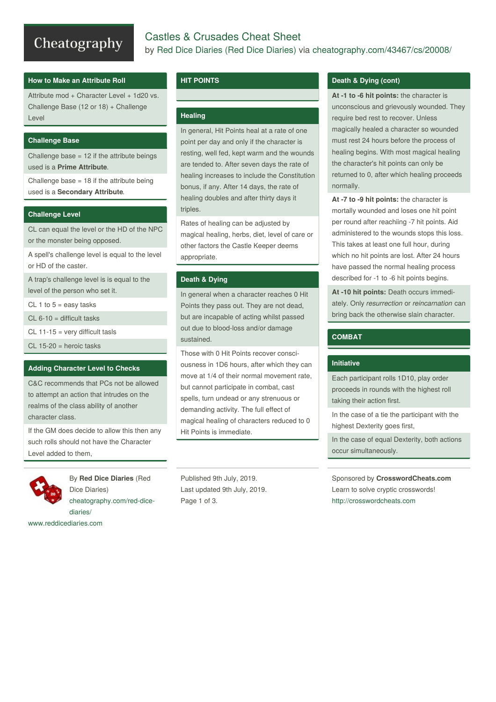# Cheatography

# Castles & Crusades Cheat Sheet by Red Dice Diaries (Red Dice [Diaries\)](http://www.cheatography.com/red-dice-diaries/) via [cheatography.com/43467/cs/20008/](http://www.cheatography.com/red-dice-diaries/cheat-sheets/castles-and-crusades)

# **How to Make an Attribute Roll**

Attribute mod + Character Level + 1d20 vs. Challenge Base (12 or 18) + Challenge Level

# **Challenge Base**

Challenge base  $= 12$  if the attribute beings used is a **Prime Attribute**.

Challenge base = 18 if the attribute being used is a **Secondary Attribute**.

## **Challenge Level**

CL can equal the level or the HD of the NPC or the monster being opposed.

A spell's challenge level is equal to the level or HD of the caster.

A trap's challenge level is is equal to the level of the person who set it.

CL 1 to  $5 = e$ asy tasks

 $CL 6-10 =$  difficult tasks

CL 11-15 = very difficult tasls

CL 15-20 = heroic tasks

### **Adding Character Level to Checks**

C&C recommends that PCs not be allowed to attempt an action that intrudes on the realms of the class ability of another character class.

If the GM does decide to allow this then any such rolls should not have the Character Level added to them,



By **Red Dice Diaries** (Red Dice Diaries) [cheatography.com/red-dice](http://www.cheatography.com/red-dice-diaries/)diaries/

[www.reddicediaries.com](https://www.reddicediaries.com)

## **HIT POINTS**

### **Healing**

In general, Hit Points heal at a rate of one point per day and only if the character is resting, well fed, kept warm and the wounds are tended to. After seven days the rate of healing increases to include the Constitution bonus, if any. After 14 days, the rate of healing doubles and after thirty days it triples.

Rates of healing can be adjusted by magical healing, herbs, diet, level of care or other factors the Castle Keeper deems appropriate.

### **Death & Dying**

In general when a character reaches 0 Hit Points they pass out. They are not dead, but are incapable of acting whilst passed out due to blood-loss and/or damage sustained.

Those with 0 Hit Points recover consci‐ ousness in 1D6 hours, after which they can move at 1/4 of their normal movement rate, but cannot participate in combat, cast spells, turn undead or any strenuous or demanding activity. The full effect of magical healing of characters reduced to 0 Hit Points is immediate.

Published 9th July, 2019. Last updated 9th July, 2019. Page 1 of 3.

### **Death & Dying (cont)**

**At -1 to -6 hit points:** the character is unconscious and grievously wounded. They require bed rest to recover. Unless magically healed a character so wounded must rest 24 hours before the process of healing begins. With most magical healing the character's hit points can only be returned to 0, after which healing proceeds normally.

**At -7 to -9 hit points:** the character is mortally wounded and loses one hit point per round after reachiing -7 hit points. Aid administered to the wounds stops this loss. This takes at least one full hour, during which no hit points are lost. After 24 hours have passed the normal healing process described for -1 to -6 hit points begins.

**At -10 hit points:** Death occurs immedi‐ ately. Only *resurrection* or *reincarnation* can bring back the otherwise slain character.

## **COMBAT**

### **Initiative**

Each participant rolls 1D10, play order proceeds in rounds with the highest roll taking their action first.

In the case of a tie the participant with the highest Dexterity goes first,

In the case of equal Dexterity, both actions occur simultaneously.

Sponsored by **CrosswordCheats.com** Learn to solve cryptic crosswords! <http://crosswordcheats.com>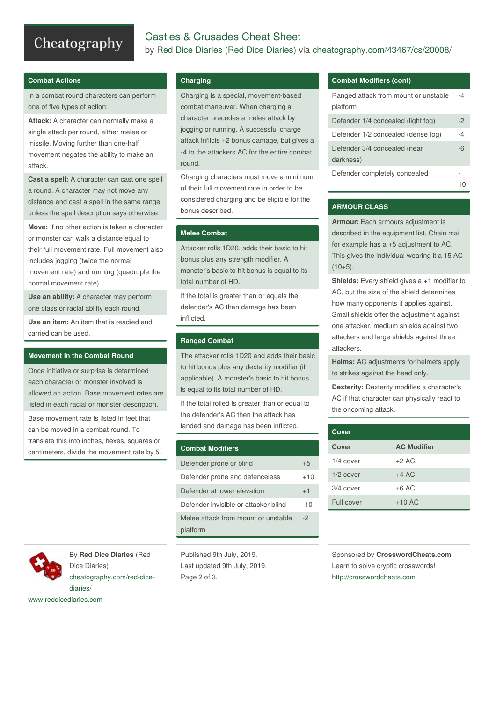# Cheatography

# Castles & Crusades Cheat Sheet by Red Dice Diaries (Red Dice [Diaries\)](http://www.cheatography.com/red-dice-diaries/) via [cheatography.com/43467/cs/20008/](http://www.cheatography.com/red-dice-diaries/cheat-sheets/castles-and-crusades)

### **Combat Actions**

In a combat round characters can perform one of five types of action:

**Attack:** A character can normally make a single attack per round, either melee or missile. Moving further than one-half movement negates the ability to make an attack.

**Cast a spell:** A character can cast one spell a round. A character may not move any distance and cast a spell in the same range unless the spell description says otherwise.

**Move:** If no other action is taken a character or monster can walk a distance equal to their full movement rate. Full movement also includes jogging (twice the normal movement rate) and running (quadruple the normal movement rate).

**Use an ability:** A character may perform one class or racial ability each round.

**Use an item:** An item that is readied and carried can be used.

#### **Movement in the Combat Round**

Once initiative or surprise is determined each character or monster involved is allowed an action. Base movement rates are listed in each racial or monster description.

Base movement rate is listed in feet that can be moved in a combat round. To translate this into inches, hexes, squares or centimeters, divide the movement rate by 5.

### **Charging**

Charging is a special, movement-based combat maneuver. When charging a character precedes a melee attack by jogging or running. A successful charge attack inflicts +2 bonus damage, but gives a -4 to the attackers AC for the entire combat round.

Charging characters must move a minimum of their full movement rate in order to be considered charging and be eligible for the bonus described.

### **Melee Combat**

Attacker rolls 1D20, adds their basic to hit bonus plus any strength modifier. A monster's basic to hit bonus is equal to its total number of HD.

If the total is greater than or equals the defender's AC than damage has been inflicted.

#### **Ranged Combat**

The attacker rolls 1D20 and adds their basic to hit bonus plus any dexterity modifier (if applicable). A monster's basic to hit bonus is equal to its total number of HD.

If the total rolled is greater than or equal to the defender's AC then the attack has landed and damage has been inflicted.

| <b>Combat Modifiers</b>              |       |
|--------------------------------------|-------|
| Defender prone or blind              | $+5$  |
| Defender prone and defenceless       | $+10$ |
| Defender at lower elevation          | $+1$  |
| Defender invisible or attacker blind | $-10$ |
| Melee attack from mount or unstable  | -2    |
| platform                             |       |

By **Red Dice Diaries** (Red Dice Diaries) [cheatography.com/red-dice](http://www.cheatography.com/red-dice-diaries/)diaries/

[www.reddicediaries.com](https://www.reddicediaries.com)

Published 9th July, 2019. Last updated 9th July, 2019. Page 2 of 3.

# **Combat Modifiers (cont)**

| Ranged attack from mount or unstable<br>platform |      |
|--------------------------------------------------|------|
| Defender 1/4 concealed (light fog)               | $-2$ |
| Defender 1/2 concealed (dense fog)               | -4   |
| Defender 3/4 concealed (near<br>darkness)        | -6   |
| Defender completely concealed                    |      |

#### **ARMOUR CLASS**

**Armour:** Each armours adjustment is described in the equipment list. Chain mail for example has a +5 adjustment to AC. This gives the individual wearing it a 15 AC  $(10+5)$ .

**Shields:** Every shield gives a +1 modifier to AC, but the size of the shield determines how many opponents it applies against. Small shields offer the adjustment against one attacker, medium shields against two attackers and large shields against three attackers.

**Helms:** AC adjustments for helmets apply to strikes against the head only.

**Dexterity:** Dexterity modifies a character's AC if that character can physically react to the oncoming attack.

| Cover       |                    |
|-------------|--------------------|
| Cover       | <b>AC Modifier</b> |
| $1/4$ cover | $+2$ AC            |
| $1/2$ cover | $+4$ AC            |
| $3/4$ cover | $+6$ AC            |
| Full cover  | $+10$ AC           |

Sponsored by **CrosswordCheats.com** Learn to solve cryptic crosswords! <http://crosswordcheats.com>